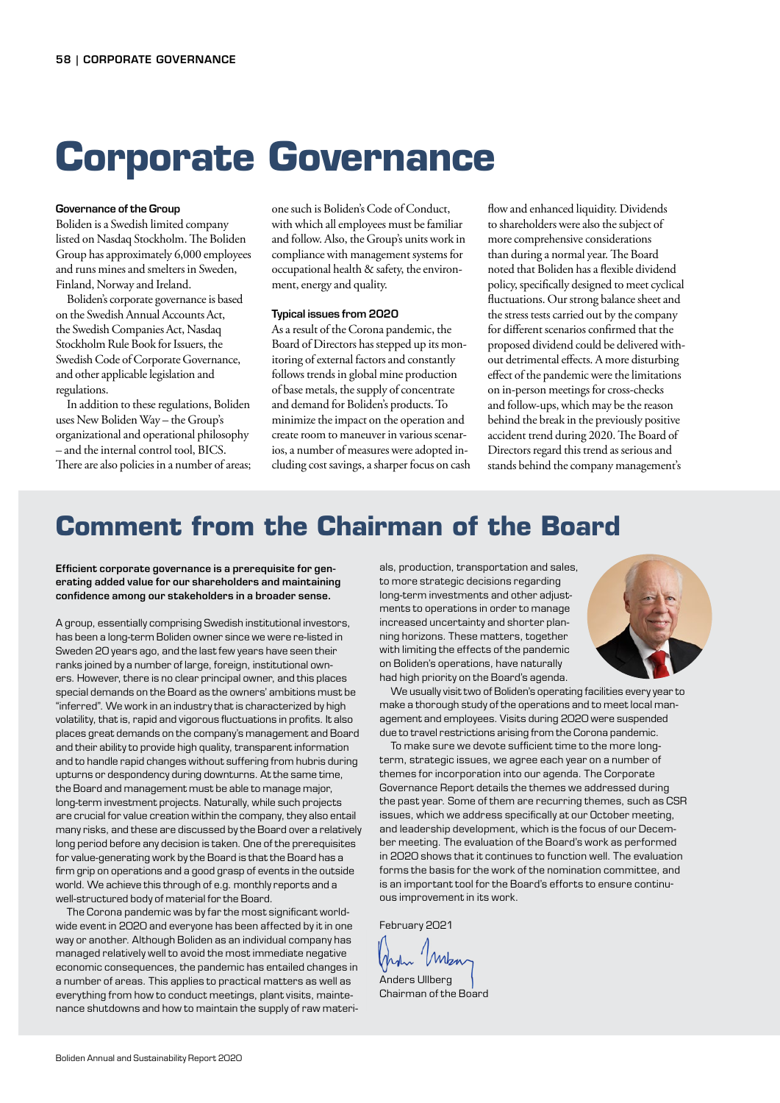# **Corporate Governance**

#### Governance of the Group

Boliden is a Swedish limited company listed on Nasdaq Stockholm. The Boliden Group has approximately 6,000 employees and runs mines and smelters in Sweden, Finland, Norway and Ireland.

Boliden's corporate governance is based on the Swedish Annual Accounts Act, the Swedish Companies Act, Nasdaq Stockholm Rule Book for Issuers, the Swedish Code of Corporate Governance, and other applicable legislation and regulations.

In addition to these regulations, Boliden uses New Boliden Way – the Group's organizational and operational philosophy – and the internal control tool, BICS. There are also policies in a number of areas;

one such is Boliden's Code of Conduct, with which all employees must be familiar and follow. Also, the Group's units work in compliance with management systems for occupational health & safety, the environment, energy and quality.

#### Typical issues from 2020

As a result of the Corona pandemic, the Board of Directors has stepped up its monitoring of external factors and constantly follows trends in global mine production of base metals, the supply of concentrate and demand for Boliden's products. To minimize the impact on the operation and create room to maneuver in various scenarios, a number of measures were adopted including cost savings, a sharper focus on cash

flow and enhanced liquidity. Dividends to shareholders were also the subject of more comprehensive considerations than during a normal year. The Board noted that Boliden has a flexible dividend policy, specifically designed to meet cyclical fluctuations. Our strong balance sheet and the stress tests carried out by the company for different scenarios confirmed that the proposed dividend could be delivered without detrimental effects. A more disturbing effect of the pandemic were the limitations on in-person meetings for cross-checks and follow-ups, which may be the reason behind the break in the previously positive accident trend during 2020. The Board of Directors regard this trend as serious and stands behind the company management's

# **Comment from the Chairman of the Board**

Efficient corporate governance is a prerequisite for generating added value for our shareholders and maintaining confidence among our stakeholders in a broader sense.

A group, essentially comprising Swedish institutional investors, has been a long-term Boliden owner since we were re-listed in Sweden 20 years ago, and the last few years have seen their ranks joined by a number of large, foreign, institutional owners. However, there is no clear principal owner, and this places special demands on the Board as the owners' ambitions must be "inferred". We work in an industry that is characterized by high volatility, that is, rapid and vigorous fluctuations in profits. It also places great demands on the company's management and Board and their ability to provide high quality, transparent information and to handle rapid changes without suffering from hubris during upturns or despondency during downturns. At the same time, the Board and management must be able to manage major, long-term investment projects. Naturally, while such projects are crucial for value creation within the company, they also entail many risks, and these are discussed by the Board over a relatively long period before any decision is taken. One of the prerequisites for value-generating work by the Board is that the Board has a firm grip on operations and a good grasp of events in the outside world. We achieve this through of e.g. monthly reports and a well-structured body of material for the Board.

The Corona pandemic was by far the most significant worldwide event in 2020 and everyone has been affected by it in one way or another. Although Boliden as an individual company has managed relatively well to avoid the most immediate negative economic consequences, the pandemic has entailed changes in a number of areas. This applies to practical matters as well as everything from how to conduct meetings, plant visits, maintenance shutdowns and how to maintain the supply of raw materials, production, transportation and sales, to more strategic decisions regarding long-term investments and other adjustments to operations in order to manage increased uncertainty and shorter planning horizons. These matters, together with limiting the effects of the pandemic on Boliden's operations, have naturally had high priority on the Board's agenda.



We usually visit two of Boliden's operating facilities every year to make a thorough study of the operations and to meet local management and employees. Visits during 2020 were suspended due to travel restrictions arising from the Corona pandemic.

To make sure we devote sufficient time to the more longterm, strategic issues, we agree each year on a number of themes for incorporation into our agenda. The Corporate Governance Report details the themes we addressed during the past year. Some of them are recurring themes, such as CSR issues, which we address specifically at our October meeting, and leadership development, which is the focus of our December meeting. The evaluation of the Board's work as performed in 2020 shows that it continues to function well. The evaluation forms the basis for the work of the nomination committee, and is an important tool for the Board's efforts to ensure continuous improvement in its work.

February 2021

When

Anders Ullberg Chairman of the Board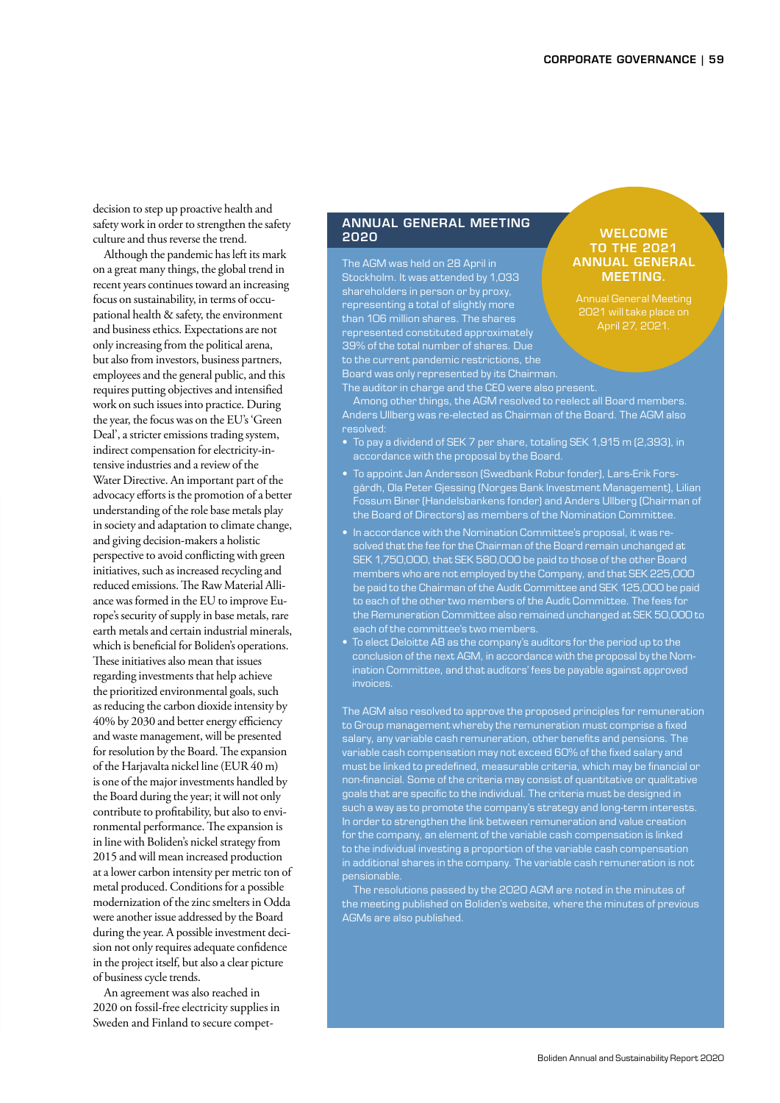decision to step up proactive health and safety work in order to strengthen the safety culture and thus reverse the trend.

Although the pandemic has left its mark on a great many things, the global trend in recent years continues toward an increasing focus on sustainability, in terms of occupational health & safety, the environment and business ethics. Expectations are not only increasing from the political arena, but also from investors, business partners, employees and the general public, and this requires putting objectives and intensified work on such issues into practice. During the year, the focus was on the EU's 'Green Deal', a stricter emissions trading system, indirect compensation for electricity-intensive industries and a review of the Water Directive. An important part of the advocacy efforts is the promotion of a better understanding of the role base metals play in society and adaptation to climate change, and giving decision-makers a holistic perspective to avoid conflicting with green initiatives, such as increased recycling and reduced emissions. The Raw Material Alliance was formed in the EU to improve Europe's security of supply in base metals, rare earth metals and certain industrial minerals, which is beneficial for Boliden's operations. These initiatives also mean that issues regarding investments that help achieve the prioritized environmental goals, such as reducing the carbon dioxide intensity by 40% by 2030 and better energy efficiency and waste management, will be presented for resolution by the Board. The expansion of the Harjavalta nickel line (EUR 40 m) is one of the major investments handled by the Board during the year; it will not only contribute to profitability, but also to environmental performance. The expansion is in line with Boliden's nickel strategy from 2015 and will mean increased production at a lower carbon intensity per metric ton of metal produced. Conditions for a possible modernization of the zinc smelters in Odda were another issue addressed by the Board during the year. A possible investment decision not only requires adequate confidence in the project itself, but also a clear picture of business cycle trends.

An agreement was also reached in 2020 on fossil-free electricity supplies in Sweden and Finland to secure compet-

# ANNUAL GENERAL MEETING 2020 WELCOME

The AGM was held on 28 April in Stockholm. It was attended by 1,033 shareholders in person or by proxy, representing a total of slightly more than 106 million shares. The shares represented constituted approximately 39% of the total number of shares. Due to the current pandemic restrictions, the Board was only represented by its Chairman. The auditor in charge and the CEO were also present.

# TO THE 2021 ANNUAL GENERAL MEETING.

Annual General Meeting 2021 will take place on April 27, 2021.

Among other things, the AGM resolved to reelect all Board members. Anders Ullberg was re-elected as Chairman of the Board. The AGM also

- To pay a dividend of SEK 7 per share, totaling SEK 1,915 m (2,393), in accordance with the proposal by the Board.
- To appoint Jan Andersson (Swedbank Robur fonder), Lars-Erik Forsgårdh, Ola Peter Gjessing (Norges Bank Investment Management), Lilian Fossum Biner (Handelsbankens fonder) and Anders Ullberg (Chairman of the Board of Directors) as members of the Nomination Committee.
- In accordance with the Nomination Committee's proposal, it was resolved that the fee for the Chairman of the Board remain unchanged at SEK 1,750,000, that SEK 580,000 be paid to those of the other Board members who are not employed by the Company, and that SEK 225,000 be paid to the Chairman of the Audit Committee and SEK 125,000 be paid to each of the other two members of the Audit Committee. The fees for the Remuneration Committee also remained unchanged at SEK 50,000 to each of the committee's two members.
- To elect Deloitte AB as the company's auditors for the period up to the conclusion of the next AGM, in accordance with the proposal by the Nomination Committee, and that auditors' fees be payable against approved invoices.

The AGM also resolved to approve the proposed principles for remuneration to Group management whereby the remuneration must comprise a fixed salary, any variable cash remuneration, other benefits and pensions. The variable cash compensation may not exceed 60% of the fixed salary and must be linked to predefined, measurable criteria, which may be financial or non-financial. Some of the criteria may consist of quantitative or qualitative goals that are specific to the individual. The criteria must be designed in such a way as to promote the company's strategy and long-term interests. In order to strengthen the link between remuneration and value creation for the company, an element of the variable cash compensation is linked to the individual investing a proportion of the variable cash compensation in additional shares in the company. The variable cash remuneration is not

The resolutions passed by the 2020 AGM are noted in the minutes of the meeting published on Boliden's website, where the minutes of previous AGMs are also published.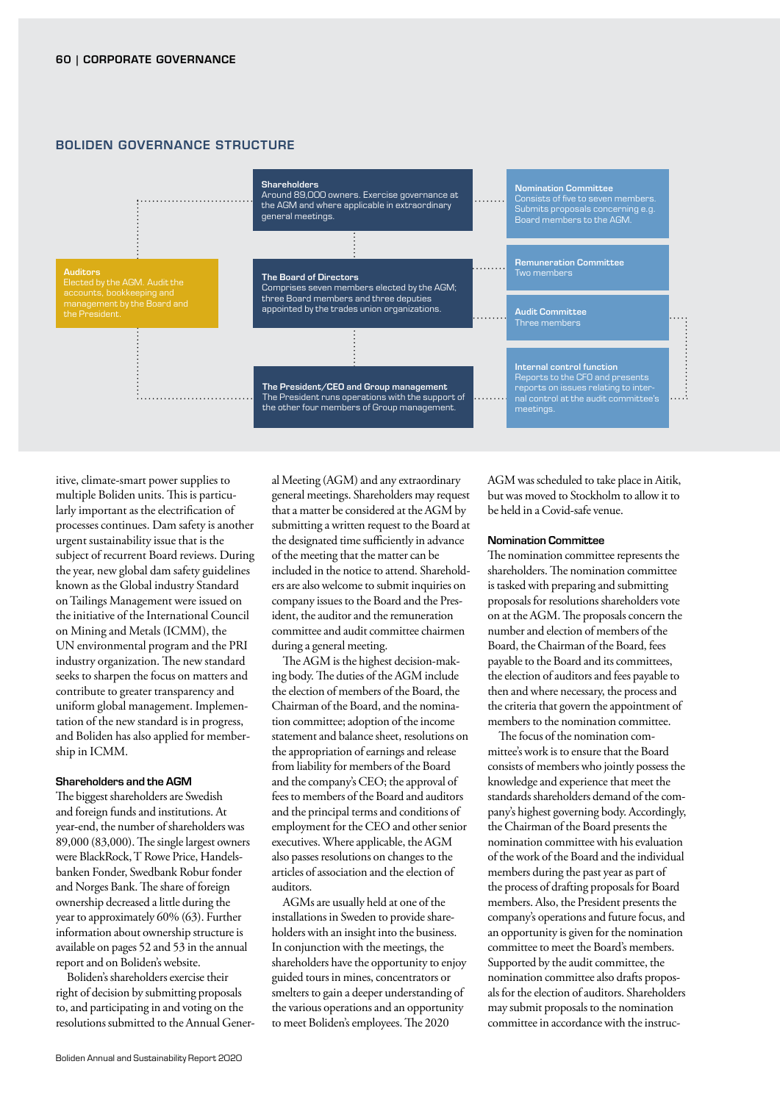

### BOLIDEN GOVERNANCE STRUCTURE

itive, climate-smart power supplies to multiple Boliden units. This is particularly important as the electrification of processes continues. Dam safety is another urgent sustainability issue that is the subject of recurrent Board reviews. During the year, new global dam safety guidelines known as the Global industry Standard on Tailings Management were issued on the initiative of the International Council on Mining and Metals (ICMM), the UN environmental program and the PRI industry organization. The new standard seeks to sharpen the focus on matters and contribute to greater transparency and uniform global management. Implementation of the new standard is in progress, and Boliden has also applied for membership in ICMM.

#### Shareholders and the AGM

The biggest shareholders are Swedish and foreign funds and institutions. At year-end, the number of shareholders was 89,000 (83,000). The single largest owners were BlackRock, T Rowe Price, Handelsbanken Fonder, Swedbank Robur fonder and Norges Bank. The share of foreign ownership decreased a little during the year to approximately 60% (63). Further information about ownership structure is available on pages 52 and 53 in the annual report and on Boliden's website.

Boliden's shareholders exercise their right of decision by submitting proposals to, and participating in and voting on the resolutions submitted to the Annual General Meeting (AGM) and any extraordinary general meetings. Shareholders may request that a matter be considered at the AGM by submitting a written request to the Board at the designated time sufficiently in advance of the meeting that the matter can be included in the notice to attend. Shareholders are also welcome to submit inquiries on company issues to the Board and the President, the auditor and the remuneration committee and audit committee chairmen during a general meeting.

The AGM is the highest decision-making body. The duties of the AGM include the election of members of the Board, the Chairman of the Board, and the nomination committee; adoption of the income statement and balance sheet, resolutions on the appropriation of earnings and release from liability for members of the Board and the company's CEO; the approval of fees to members of the Board and auditors and the principal terms and conditions of employment for the CEO and other senior executives. Where applicable, the AGM also passes resolutions on changes to the articles of association and the election of auditors.

AGMs are usually held at one of the installations in Sweden to provide shareholders with an insight into the business. In conjunction with the meetings, the shareholders have the opportunity to enjoy guided tours in mines, concentrators or smelters to gain a deeper understanding of the various operations and an opportunity to meet Boliden's employees. The 2020

AGM was scheduled to take place in Aitik, but was moved to Stockholm to allow it to be held in a Covid-safe venue.

#### Nomination Committee

The nomination committee represents the shareholders. The nomination committee is tasked with preparing and submitting proposals for resolutions shareholders vote on at the AGM. The proposals concern the number and election of members of the Board, the Chairman of the Board, fees payable to the Board and its committees, the election of auditors and fees payable to then and where necessary, the process and the criteria that govern the appointment of members to the nomination committee.

The focus of the nomination committee's work is to ensure that the Board consists of members who jointly possess the knowledge and experience that meet the standards shareholders demand of the company's highest governing body. Accordingly, the Chairman of the Board presents the nomination committee with his evaluation of the work of the Board and the individual members during the past year as part of the process of drafting proposals for Board members. Also, the President presents the company's operations and future focus, and an opportunity is given for the nomination committee to meet the Board's members. Supported by the audit committee, the nomination committee also drafts proposals for the election of auditors. Shareholders may submit proposals to the nomination committee in accordance with the instruc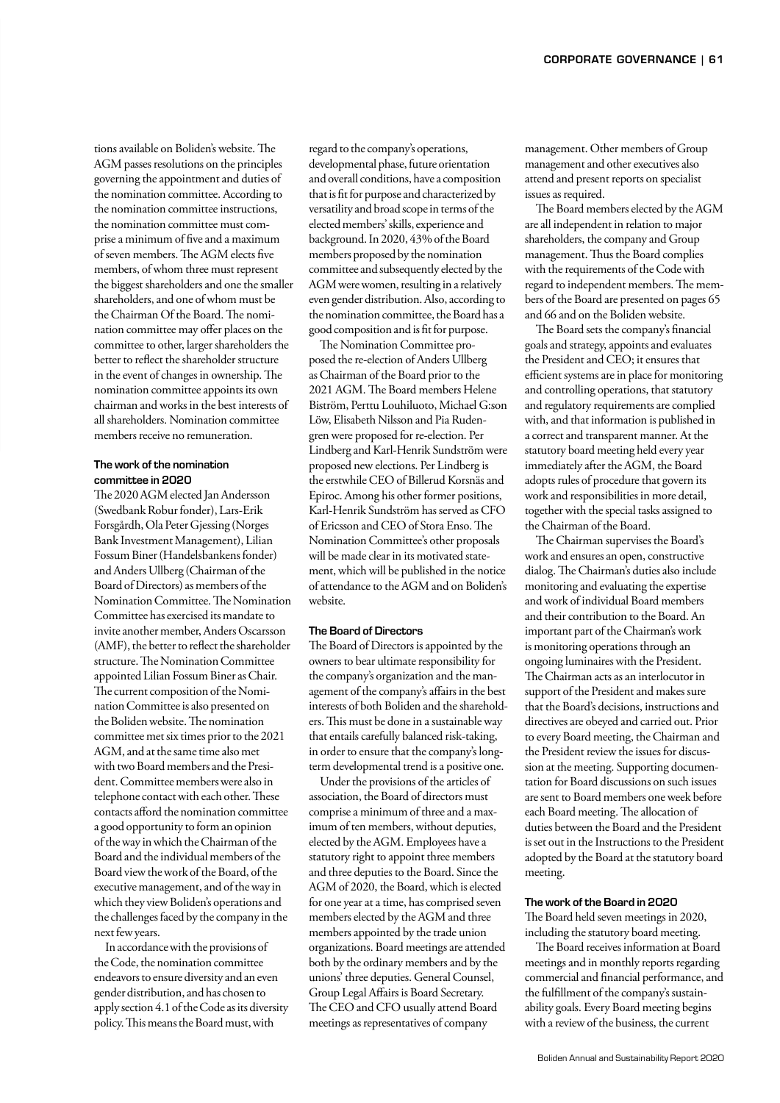tions available on Boliden's website. The AGM passes resolutions on the principles governing the appointment and duties of the nomination committee. According to the nomination committee instructions, the nomination committee must comprise a minimum of five and a maximum of seven members. The AGM elects five members, of whom three must represent the biggest shareholders and one the smaller shareholders, and one of whom must be the Chairman Of the Board. The nomination committee may offer places on the committee to other, larger shareholders the better to reflect the shareholder structure in the event of changes in ownership. The nomination committee appoints its own chairman and works in the best interests of all shareholders. Nomination committee members receive no remuneration.

## The work of the nomination committee in 2020

The 2020 AGM elected Jan Andersson (Swedbank Robur fonder), Lars-Erik Forsgårdh, Ola Peter Gjessing (Norges Bank Investment Management), Lilian Fossum Biner (Handelsbankens fonder) and Anders Ullberg (Chairman of the Board of Directors) as members of the Nomination Committee. The Nomination Committee has exercised its mandate to invite another member, Anders Oscarsson (AMF), the better to reflect the shareholder structure. The Nomination Committee appointed Lilian Fossum Biner as Chair. The current composition of the Nomination Committee is also presented on the Boliden website. The nomination committee met six times prior to the 2021 AGM, and at the same time also met with two Board members and the President. Committee members were also in telephone contact with each other. These contacts afford the nomination committee a good opportunity to form an opinion of the way in which the Chairman of the Board and the individual members of the Board view the work of the Board, of the executive management, and of the way in which they view Boliden's operations and the challenges faced by the company in the next few years.

In accordance with the provisions of the Code, the nomination committee endeavors to ensure diversity and an even gender distribution, and has chosen to apply section 4.1 of the Code as its diversity policy. This means the Board must, with

regard to the company's operations, developmental phase, future orientation and overall conditions, have a composition that is fit for purpose and characterized by versatility and broad scope in terms of the elected members' skills, experience and background. In 2020, 43% of the Board members proposed by the nomination committee and subsequently elected by the AGM were women, resulting in a relatively even gender distribution. Also, according to the nomination committee, the Board has a good composition and is fit for purpose.

The Nomination Committee proposed the re-election of Anders Ullberg as Chairman of the Board prior to the 2021 AGM. The Board members Helene Biström, Perttu Louhiluoto, Michael G:son Löw, Elisabeth Nilsson and Pia Rudengren were proposed for re-election. Per Lindberg and Karl-Henrik Sundström were proposed new elections. Per Lindberg is the erstwhile CEO of Billerud Korsnäs and Epiroc. Among his other former positions, Karl-Henrik Sundström has served as CFO of Ericsson and CEO of Stora Enso. The Nomination Committee's other proposals will be made clear in its motivated statement, which will be published in the notice of attendance to the AGM and on Boliden's website.

#### The Board of Directors

The Board of Directors is appointed by the owners to bear ultimate responsibility for the company's organization and the management of the company's affairs in the best interests of both Boliden and the shareholders. This must be done in a sustainable way that entails carefully balanced risk-taking, in order to ensure that the company's longterm developmental trend is a positive one.

Under the provisions of the articles of association, the Board of directors must comprise a minimum of three and a maximum of ten members, without deputies, elected by the AGM. Employees have a statutory right to appoint three members and three deputies to the Board. Since the AGM of 2020, the Board, which is elected for one year at a time, has comprised seven members elected by the AGM and three members appointed by the trade union organizations. Board meetings are attended both by the ordinary members and by the unions' three deputies. General Counsel, Group Legal Affairs is Board Secretary. The CEO and CFO usually attend Board meetings as representatives of company

management. Other members of Group management and other executives also attend and present reports on specialist issues as required.

The Board members elected by the AGM are all independent in relation to major shareholders, the company and Group management. Thus the Board complies with the requirements of the Code with regard to independent members. The members of the Board are presented on pages 65 and 66 and on the Boliden website.

The Board sets the company's financial goals and strategy, appoints and evaluates the President and CEO; it ensures that efficient systems are in place for monitoring and controlling operations, that statutory and regulatory requirements are complied with, and that information is published in a correct and transparent manner. At the statutory board meeting held every year immediately after the AGM, the Board adopts rules of procedure that govern its work and responsibilities in more detail, together with the special tasks assigned to the Chairman of the Board.

The Chairman supervises the Board's work and ensures an open, constructive dialog. The Chairman's duties also include monitoring and evaluating the expertise and work of individual Board members and their contribution to the Board. An important part of the Chairman's work is monitoring operations through an ongoing luminaires with the President. The Chairman acts as an interlocutor in support of the President and makes sure that the Board's decisions, instructions and directives are obeyed and carried out. Prior to every Board meeting, the Chairman and the President review the issues for discussion at the meeting. Supporting documentation for Board discussions on such issues are sent to Board members one week before each Board meeting. The allocation of duties between the Board and the President is set out in the Instructions to the President adopted by the Board at the statutory board meeting.

#### The work of the Board in 2020

The Board held seven meetings in 2020, including the statutory board meeting.

The Board receives information at Board meetings and in monthly reports regarding commercial and financial performance, and the fulfillment of the company's sustainability goals. Every Board meeting begins with a review of the business, the current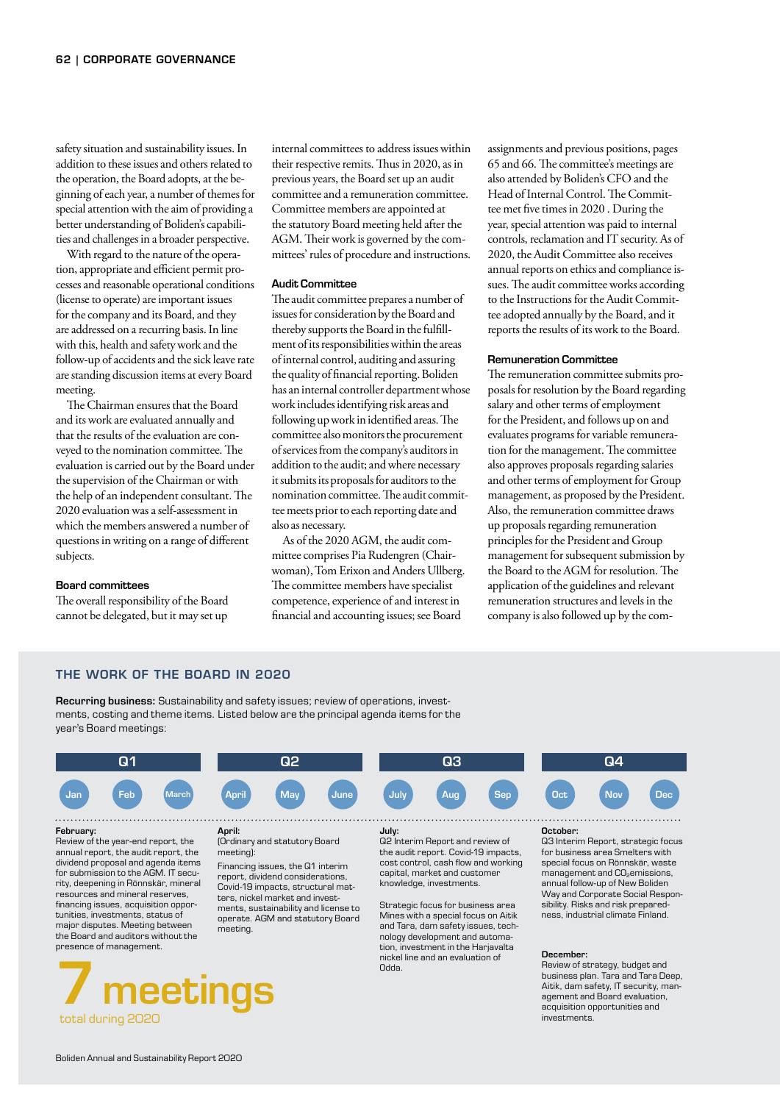safety situation and sustainability issues. In addition to these issues and others related to the operation, the Board adopts, at the beginning of each year, a number of themes for special attention with the aim of providing a better understanding of Boliden's capabilities and challenges in a broader perspective.

With regard to the nature of the operation, appropriate and efficient permit processes and reasonable operational conditions (license to operate) are important issues for the company and its Board, and they are addressed on a recurring basis. In line with this, health and safety work and the follow-up of accidents and the sick leave rate are standing discussion items at every Board meeting.

The Chairman ensures that the Board and its work are evaluated annually and that the results of the evaluation are conveyed to the nomination committee. The evaluation is carried out by the Board under the supervision of the Chairman or with the help of an independent consultant. The 2020 evaluation was a self-assessment in which the members answered a number of questions in writing on a range of different subjects.

#### Board committees

The overall responsibility of the Board cannot be delegated, but it may set up

internal committees to address issues within their respective remits. Thus in 2020, as in previous years, the Board set up an audit committee and a remuneration committee. Committee members are appointed at the statutory Board meeting held after the AGM. Their work is governed by the committees' rules of procedure and instructions.

#### Audit Committee

The audit committee prepares a number of issues for consideration by the Board and thereby supports the Board in the fulfillment of its responsibilities within the areas of internal control, auditing and assuring the quality of financial reporting. Boliden has an internal controller department whose work includes identifying risk areas and following up work in identified areas. The committee also monitors the procurement of services from the company's auditors in addition to the audit; and where necessary it submits its proposals for auditors to the nomination committee. The audit committee meets prior to each reporting date and also as necessary.

As of the 2020 AGM, the audit committee comprises Pia Rudengren (Chairwoman), Tom Erixon and Anders Ullberg. The committee members have specialist competence, experience of and interest in financial and accounting issues; see Board

assignments and previous positions, pages 65 and 66. The committee's meetings are also attended by Boliden's CFO and the Head of Internal Control. The Committee met five times in 2020 . During the year, special attention was paid to internal controls, reclamation and IT security. As of 2020, the Audit Committee also receives annual reports on ethics and compliance issues. The audit committee works according to the Instructions for the Audit Committee adopted annually by the Board, and it reports the results of its work to the Board.

#### Remuneration Committee

The remuneration committee submits proposals for resolution by the Board regarding salary and other terms of employment for the President, and follows up on and evaluates programs for variable remuneration for the management. The committee also approves proposals regarding salaries and other terms of employment for Group management, as proposed by the President. Also, the remuneration committee draws up proposals regarding remuneration principles for the President and Group management for subsequent submission by the Board to the AGM for resolution. The application of the guidelines and relevant remuneration structures and levels in the company is also followed up by the com-

#### THE WORK OF THE BOARD IN 2020

Recurring business: Sustainability and safety issues; review of operations, investments, costing and theme items. Listed below are the principal agenda items for the year's Board meetings:



Review of the year-end report, the annual report, the audit report, the dividend proposal and agenda items for submission to the AGM. IT security, deepening in Rönnskär, mineral resources and mineral reserves, financing issues, acquisition opportunities, investments, status of major disputes. Meeting between the Board and auditors without the presence of management.



#### (Ordinary and statutory Board meeting)

Financing issues, the Q1 interim report, dividend considerations, Covid-19 impacts, structural matters, nickel market and investments, sustainability and license to operate. AGM and statutory Board meeting.

Q2 Interim Report and review of the audit report. Covid-19 impacts, cost control, cash flow and working capital, market and customer knowledge, investments. Strategic focus for business area

Mines with a special focus on Aitik and Tara, dam safety issues, technology development and automation, investment in the Harjavalta nickel line and an evaluation of Odda.

Q3 Interim Report, strategic focus for business area Smelters with special focus on Rönnskär, waste management and CO<sub>2</sub>emissions, annual follow-up of New Boliden Way and Corporate Social Responsibility. Risks and risk preparedness, industrial climate Finland.

#### December:

Review of strategy, budget and business plan. Tara and Tara Deep, Aitik, dam safety, IT security, management and Board evaluation, acquisition opportunities and investments.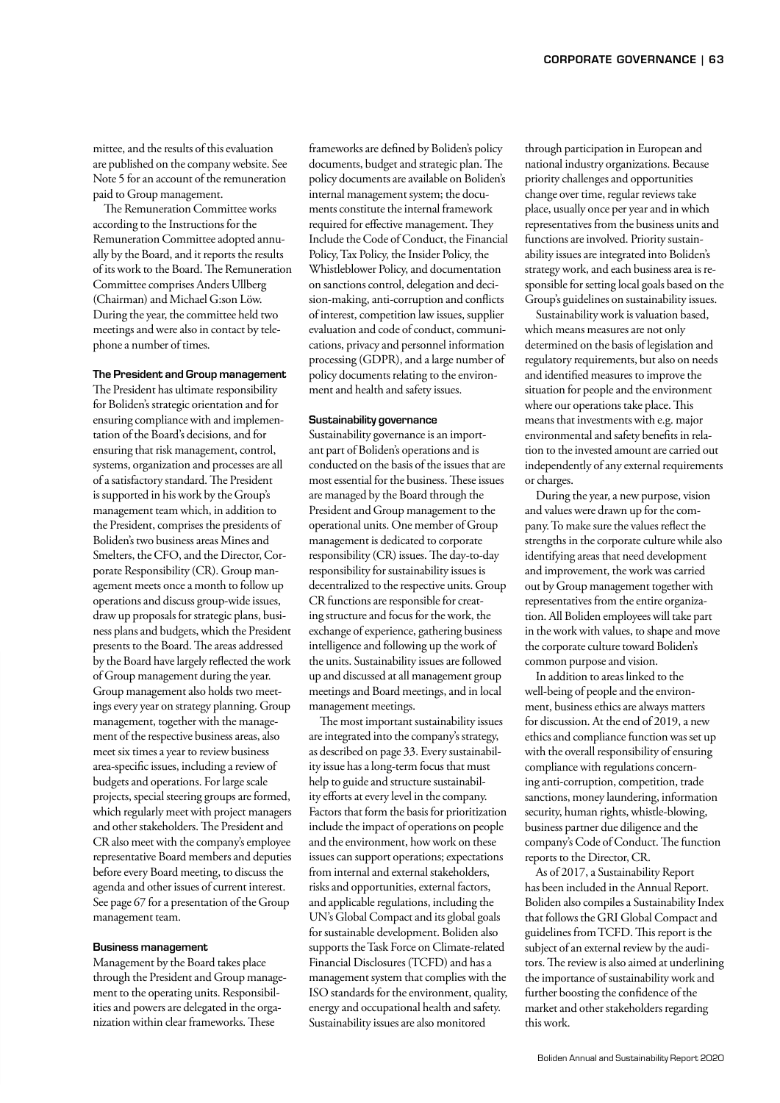mittee, and the results of this evaluation are published on the company website. See Note 5 for an account of the remuneration paid to Group management.

The Remuneration Committee works according to the Instructions for the Remuneration Committee adopted annually by the Board, and it reports the results of its work to the Board. The Remuneration Committee comprises Anders Ullberg (Chairman) and Michael G:son Löw. During the year, the committee held two meetings and were also in contact by telephone a number of times.

#### The President and Group management

The President has ultimate responsibility for Boliden's strategic orientation and for ensuring compliance with and implementation of the Board's decisions, and for ensuring that risk management, control, systems, organization and processes are all of a satisfactory standard. The President is supported in his work by the Group's management team which, in addition to the President, comprises the presidents of Boliden's two business areas Mines and Smelters, the CFO, and the Director, Corporate Responsibility (CR). Group management meets once a month to follow up operations and discuss group-wide issues, draw up proposals for strategic plans, business plans and budgets, which the President presents to the Board. The areas addressed by the Board have largely reflected the work of Group management during the year. Group management also holds two meetings every year on strategy planning. Group management, together with the management of the respective business areas, also meet six times a year to review business area-specific issues, including a review of budgets and operations. For large scale projects, special steering groups are formed, which regularly meet with project managers and other stakeholders. The President and CR also meet with the company's employee representative Board members and deputies before every Board meeting, to discuss the agenda and other issues of current interest. See page 67 for a presentation of the Group management team.

#### Business management

Management by the Board takes place through the President and Group management to the operating units. Responsibilities and powers are delegated in the organization within clear frameworks. These

frameworks are defined by Boliden's policy documents, budget and strategic plan. The policy documents are available on Boliden's internal management system; the documents constitute the internal framework required for effective management. They Include the Code of Conduct, the Financial Policy, Tax Policy, the Insider Policy, the Whistleblower Policy, and documentation on sanctions control, delegation and decision-making, anti-corruption and conflicts of interest, competition law issues, supplier evaluation and code of conduct, communications, privacy and personnel information processing (GDPR), and a large number of policy documents relating to the environment and health and safety issues.

#### Sustainability governance

Sustainability governance is an important part of Boliden's operations and is conducted on the basis of the issues that are most essential for the business. These issues are managed by the Board through the President and Group management to the operational units. One member of Group management is dedicated to corporate responsibility (CR) issues. The day-to-day responsibility for sustainability issues is decentralized to the respective units. Group CR functions are responsible for creating structure and focus for the work, the exchange of experience, gathering business intelligence and following up the work of the units. Sustainability issues are followed up and discussed at all management group meetings and Board meetings, and in local management meetings.

The most important sustainability issues are integrated into the company's strategy, as described on page 33. Every sustainability issue has a long-term focus that must help to guide and structure sustainability efforts at every level in the company. Factors that form the basis for prioritization include the impact of operations on people and the environment, how work on these issues can support operations; expectations from internal and external stakeholders, risks and opportunities, external factors, and applicable regulations, including the UN's Global Compact and its global goals for sustainable development. Boliden also supports the Task Force on Climate-related Financial Disclosures (TCFD) and has a management system that complies with the ISO standards for the environment, quality, energy and occupational health and safety. Sustainability issues are also monitored

through participation in European and national industry organizations. Because priority challenges and opportunities change over time, regular reviews take place, usually once per year and in which representatives from the business units and functions are involved. Priority sustainability issues are integrated into Boliden's strategy work, and each business area is responsible for setting local goals based on the Group's guidelines on sustainability issues.

Sustainability work is valuation based, which means measures are not only determined on the basis of legislation and regulatory requirements, but also on needs and identified measures to improve the situation for people and the environment where our operations take place. This means that investments with e.g. major environmental and safety benefits in relation to the invested amount are carried out independently of any external requirements or charges.

During the year, a new purpose, vision and values were drawn up for the company. To make sure the values reflect the strengths in the corporate culture while also identifying areas that need development and improvement, the work was carried out by Group management together with representatives from the entire organization. All Boliden employees will take part in the work with values, to shape and move the corporate culture toward Boliden's common purpose and vision.

In addition to areas linked to the well-being of people and the environment, business ethics are always matters for discussion. At the end of 2019, a new ethics and compliance function was set up with the overall responsibility of ensuring compliance with regulations concerning anti-corruption, competition, trade sanctions, money laundering, information security, human rights, whistle-blowing, business partner due diligence and the company's Code of Conduct. The function reports to the Director, CR.

As of 2017, a Sustainability Report has been included in the Annual Report. Boliden also compiles a Sustainability Index that follows the GRI Global Compact and guidelines from TCFD. This report is the subject of an external review by the auditors. The review is also aimed at underlining the importance of sustainability work and further boosting the confidence of the market and other stakeholders regarding this work.